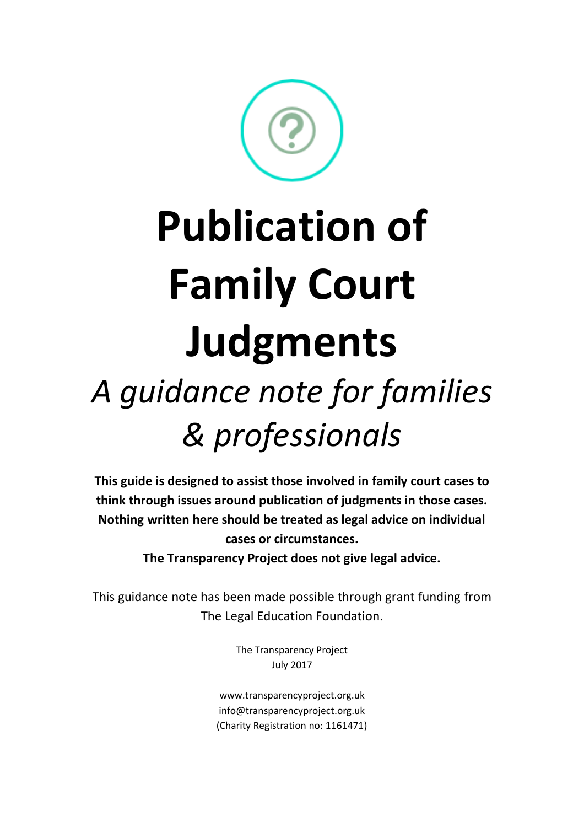

**This guide is designed to assist those involved in family court cases to think through issues around publication of judgments in those cases. Nothing written here should be treated as legal advice on individual cases or circumstances. The Transparency Project does not give legal advice.** 

This guidance note has been made possible through grant funding from The Legal Education Foundation.

> The Transparency Project July 2017

www.transparencyproject.org.uk info@transparencyproject.org.uk (Charity Registration no: 1161471)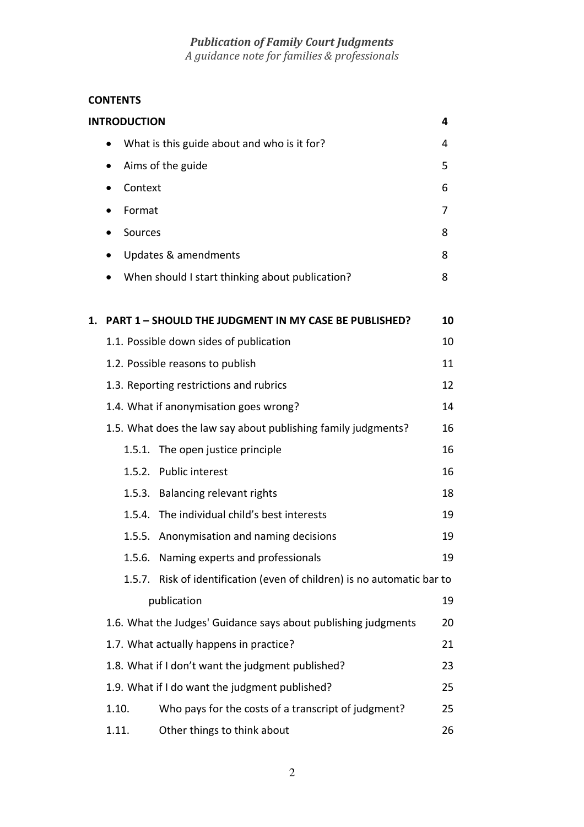# **CONTENTS**

|                                         |                                                               | <b>INTRODUCTION</b> |                                                                  | 4  |
|-----------------------------------------|---------------------------------------------------------------|---------------------|------------------------------------------------------------------|----|
|                                         | What is this guide about and who is it for?                   |                     |                                                                  | 4  |
|                                         |                                                               |                     | Aims of the guide                                                | 5  |
|                                         |                                                               | Context             |                                                                  | 6  |
|                                         | $\bullet$                                                     | Format              |                                                                  | 7  |
|                                         |                                                               | Sources             |                                                                  | 8  |
|                                         |                                                               |                     | Updates & amendments                                             | 8  |
|                                         |                                                               |                     | When should I start thinking about publication?                  | 8  |
| 1.                                      |                                                               |                     | <b>PART 1 - SHOULD THE JUDGMENT IN MY CASE BE PUBLISHED?</b>     | 10 |
|                                         |                                                               |                     | 1.1. Possible down sides of publication                          | 10 |
|                                         |                                                               |                     | 1.2. Possible reasons to publish                                 | 11 |
| 1.3. Reporting restrictions and rubrics |                                                               |                     | 12                                                               |    |
| 1.4. What if anonymisation goes wrong?  |                                                               |                     | 14                                                               |    |
|                                         | 1.5. What does the law say about publishing family judgments? |                     |                                                                  | 16 |
|                                         |                                                               |                     | 1.5.1. The open justice principle                                | 16 |
|                                         |                                                               |                     | 1.5.2. Public interest                                           | 16 |
|                                         |                                                               | 1.5.3.              | <b>Balancing relevant rights</b>                                 | 18 |
|                                         |                                                               |                     | 1.5.4. The individual child's best interests                     | 19 |
|                                         |                                                               |                     | 1.5.5. Anonymisation and naming decisions                        | 19 |
|                                         |                                                               | 1.5.6.              | Naming experts and professionals                                 | 19 |
|                                         |                                                               | 1.5.7.              | Risk of identification (even of children) is no automatic bar to |    |
|                                         | publication                                                   |                     |                                                                  | 19 |
|                                         |                                                               |                     | 1.6. What the Judges' Guidance says about publishing judgments   | 20 |
|                                         |                                                               |                     | 1.7. What actually happens in practice?                          | 21 |
|                                         |                                                               |                     | 1.8. What if I don't want the judgment published?                | 23 |
|                                         |                                                               |                     | 1.9. What if I do want the judgment published?                   | 25 |
|                                         | 1.10.                                                         |                     | Who pays for the costs of a transcript of judgment?              | 25 |
|                                         | 1.11.                                                         |                     | Other things to think about                                      | 26 |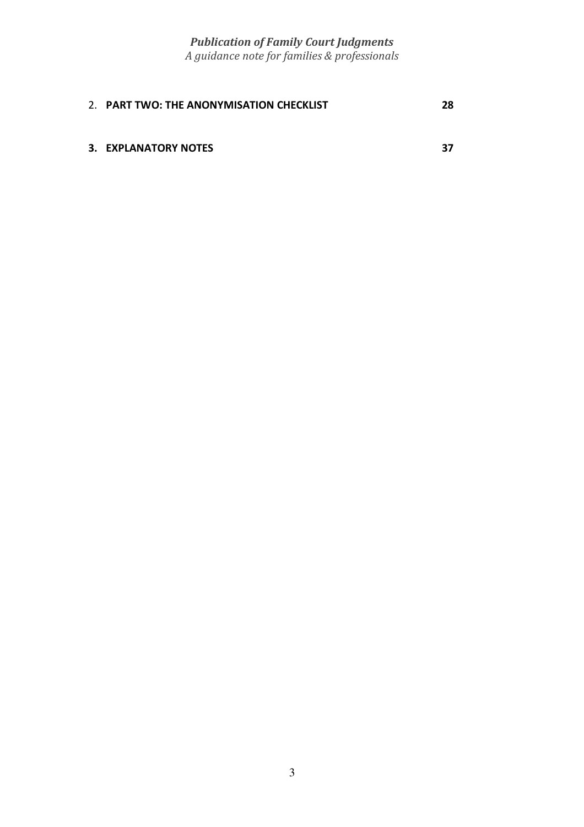| 2. PART TWO: THE ANONYMISATION CHECKLIST | 28 |
|------------------------------------------|----|
| 3. EXPLANATORY NOTES                     | 37 |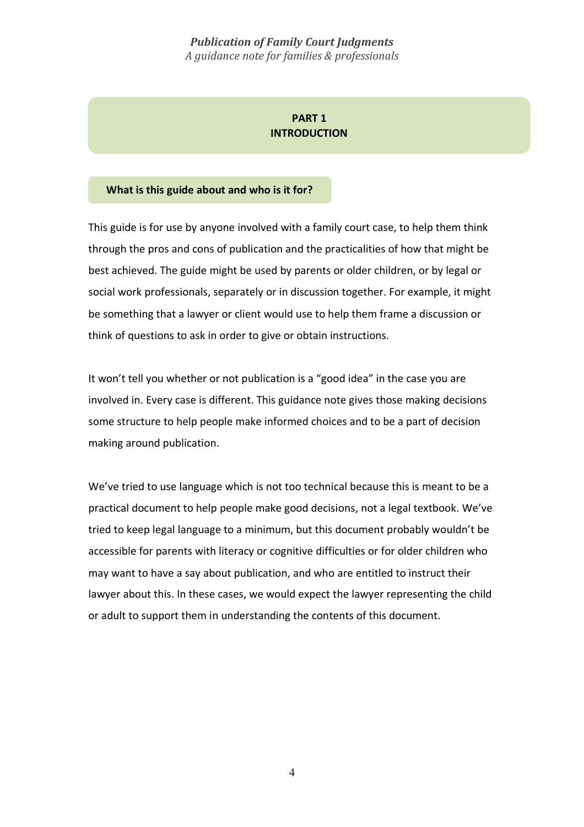# **PART 1 INTRODUCTION**

#### **What is this guide about and who is it for?**

This guide is for use by anyone involved with a family court case, to help them think through the pros and cons of publication and the practicalities of how that might be best achieved. The guide might be used by parents or older children, or by legal or social work professionals, separately or in discussion together. For example, it might be something that a lawyer or client would use to help them frame a discussion or think of questions to ask in order to give or obtain instructions.

It won't tell you whether or not publication is a "good idea" in the case you are involved in. Every case is different. This guidance note gives those making decisions some structure to help people make informed choices and to be a part of decision making around publication.

We've tried to use language which is not too technical because this is meant to be a practical document to help people make good decisions, not a legal textbook. We've tried to keep legal language to a minimum, but this document probably wouldn't be accessible for parents with literacy or cognitive difficulties or for older children who may want to have a say about publication, and who are entitled to instruct their lawyer about this. In these cases, we would expect the lawyer representing the child or adult to support them in understanding the contents of this document.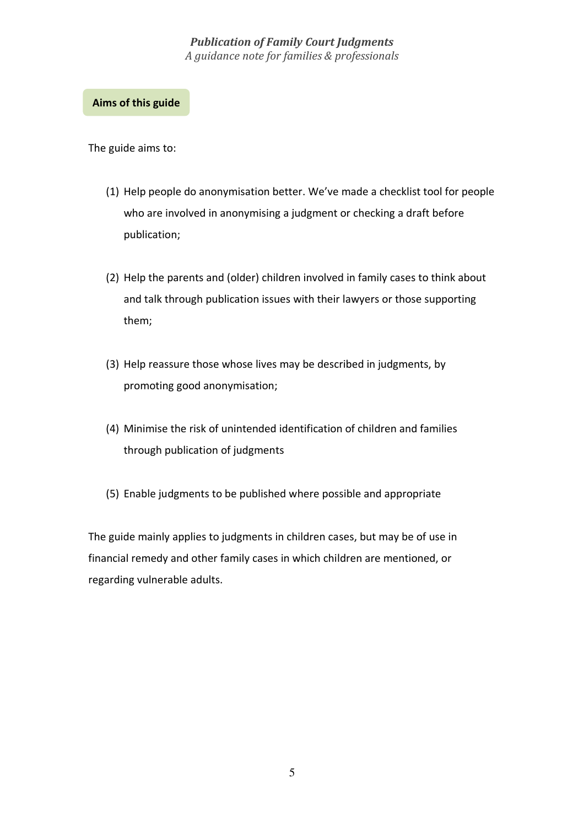#### **Aims of this guide**

The guide aims to:

- (1) Help people do anonymisation better. We've made a checklist tool for people who are involved in anonymising a judgment or checking a draft before publication;
- (2) Help the parents and (older) children involved in family cases to think about and talk through publication issues with their lawyers or those supporting them;
- (3) Help reassure those whose lives may be described in judgments, by promoting good anonymisation;
- (4) Minimise the risk of unintended identification of children and families through publication of judgments
- (5) Enable judgments to be published where possible and appropriate

The guide mainly applies to judgments in children cases, but may be of use in financial remedy and other family cases in which children are mentioned, or regarding vulnerable adults.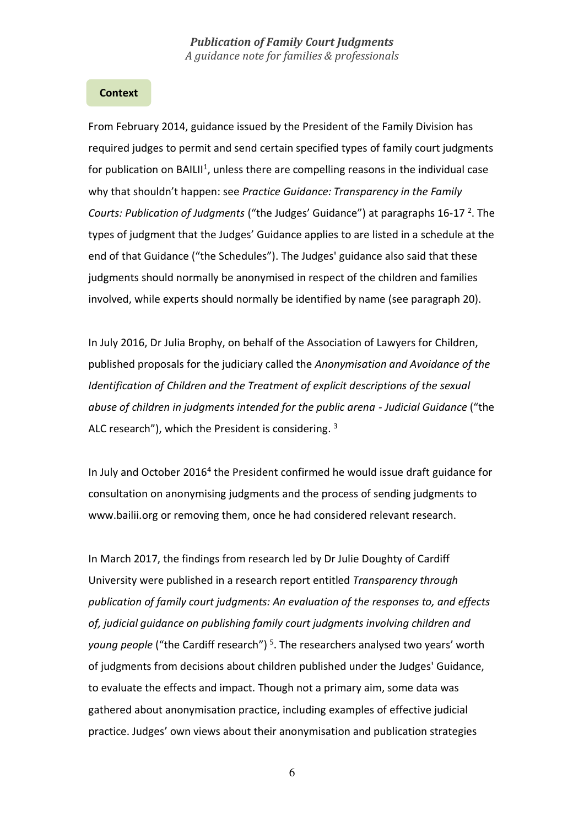#### **Context**

From February 2014, guidance issued by the President of the Family Division has required judges to permit and send certain specified types of family court judgments for publication on BAILII<sup>1</sup>, unless there are compelling reasons in the individual case why that shouldn't happen: see *Practice Guidance: Transparency in the Family*  Courts: Publication of Judgments ("the Judges' Guidance") at paragraphs 16-17<sup>2</sup>. The types of judgment that the Judges' Guidance applies to are listed in a schedule at the end of that Guidance ("the Schedules"). The Judges' guidance also said that these judgments should normally be anonymised in respect of the children and families involved, while experts should normally be identified by name (see paragraph 20).

In July 2016, Dr Julia Brophy, on behalf of the Association of Lawyers for Children, published proposals for the judiciary called the *Anonymisation and Avoidance of the Identification of Children and the Treatment of explicit descriptions of the sexual abuse of children in judgments intended for the public arena - Judicial Guidance* ("the ALC research"), which the President is considering. 3

In July and October 2016<sup>4</sup> the President confirmed he would issue draft guidance for consultation on anonymising judgments and the process of sending judgments to www.bailii.org or removing them, once he had considered relevant research.

In March 2017, the findings from research led by Dr Julie Doughty of Cardiff University were published in a research report entitled *Transparency through publication of family court judgments: An evaluation of the responses to, and effects of, judicial guidance on publishing family court judgments involving children and young people* ("the Cardiff research") 5 . The researchers analysed two years' worth of judgments from decisions about children published under the Judges' Guidance, to evaluate the effects and impact. Though not a primary aim, some data was gathered about anonymisation practice, including examples of effective judicial practice. Judges' own views about their anonymisation and publication strategies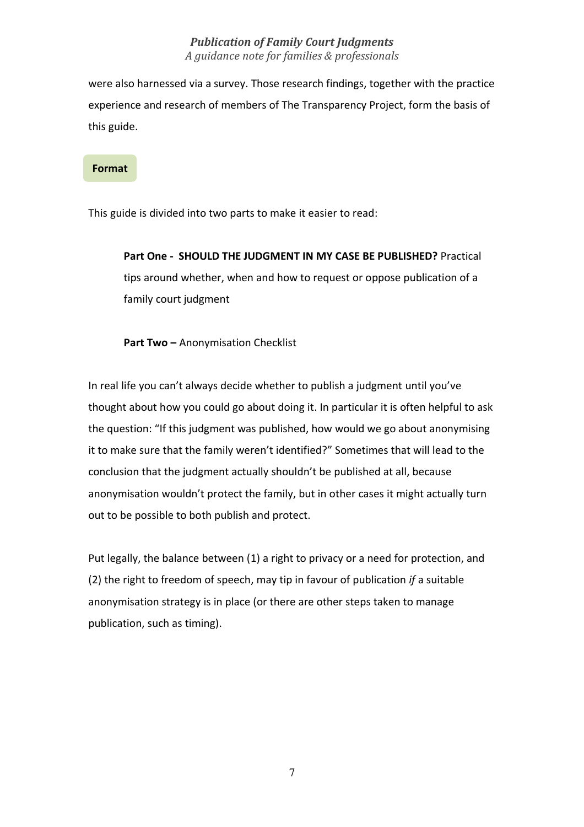were also harnessed via a survey. Those research findings, together with the practice experience and research of members of The Transparency Project, form the basis of this guide.

#### **Format**

This guide is divided into two parts to make it easier to read:

**Part One - SHOULD THE JUDGMENT IN MY CASE BE PUBLISHED?** Practical tips around whether, when and how to request or oppose publication of a family court judgment

**Part Two –** Anonymisation Checklist

In real life you can't always decide whether to publish a judgment until you've thought about how you could go about doing it. In particular it is often helpful to ask the question: "If this judgment was published, how would we go about anonymising it to make sure that the family weren't identified?" Sometimes that will lead to the conclusion that the judgment actually shouldn't be published at all, because anonymisation wouldn't protect the family, but in other cases it might actually turn out to be possible to both publish and protect.

Put legally, the balance between (1) a right to privacy or a need for protection, and (2) the right to freedom of speech, may tip in favour of publication *if* a suitable anonymisation strategy is in place (or there are other steps taken to manage publication, such as timing).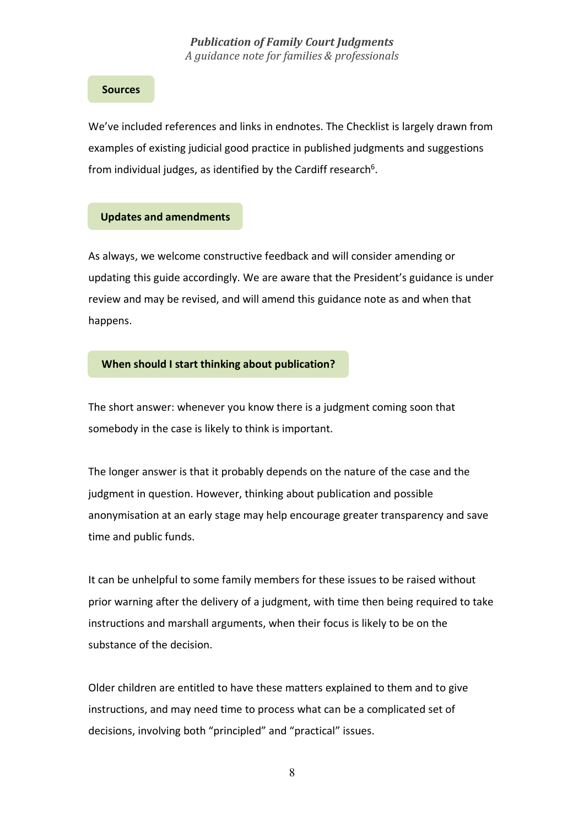#### **Sources**

We've included references and links in endnotes. The Checklist is largely drawn from examples of existing judicial good practice in published judgments and suggestions from individual judges, as identified by the Cardiff research<sup>6</sup>.

#### **Updates and amendments**

As always, we welcome constructive feedback and will consider amending or updating this guide accordingly. We are aware that the President's guidance is under review and may be revised, and will amend this guidance note as and when that happens.

#### **When should I start thinking about publication?**

The short answer: whenever you know there is a judgment coming soon that somebody in the case is likely to think is important.

The longer answer is that it probably depends on the nature of the case and the judgment in question. However, thinking about publication and possible anonymisation at an early stage may help encourage greater transparency and save time and public funds.

It can be unhelpful to some family members for these issues to be raised without prior warning after the delivery of a judgment, with time then being required to take instructions and marshall arguments, when their focus is likely to be on the substance of the decision.

Older children are entitled to have these matters explained to them and to give instructions, and may need time to process what can be a complicated set of decisions, involving both "principled" and "practical" issues.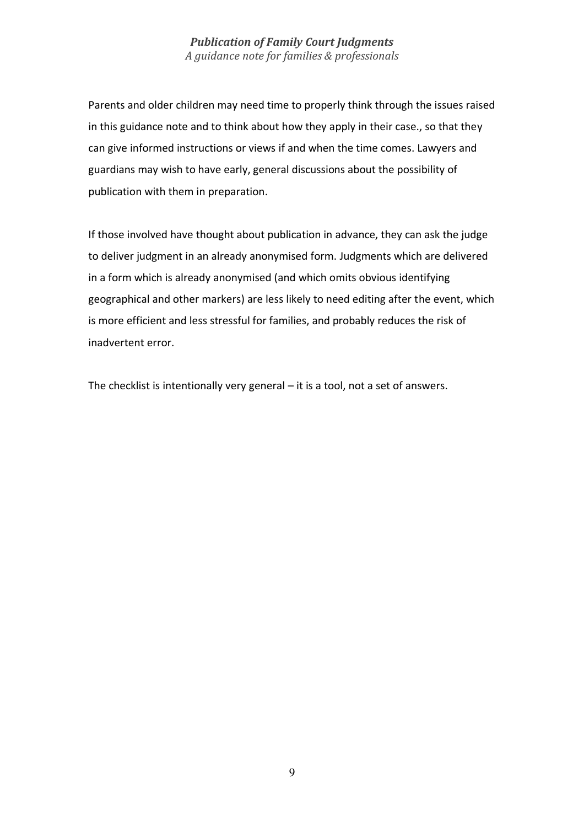Parents and older children may need time to properly think through the issues raised in this guidance note and to think about how they apply in their case., so that they can give informed instructions or views if and when the time comes. Lawyers and guardians may wish to have early, general discussions about the possibility of publication with them in preparation.

If those involved have thought about publication in advance, they can ask the judge to deliver judgment in an already anonymised form. Judgments which are delivered in a form which is already anonymised (and which omits obvious identifying geographical and other markers) are less likely to need editing after the event, which is more efficient and less stressful for families, and probably reduces the risk of inadvertent error.

The checklist is intentionally very general – it is a tool, not a set of answers.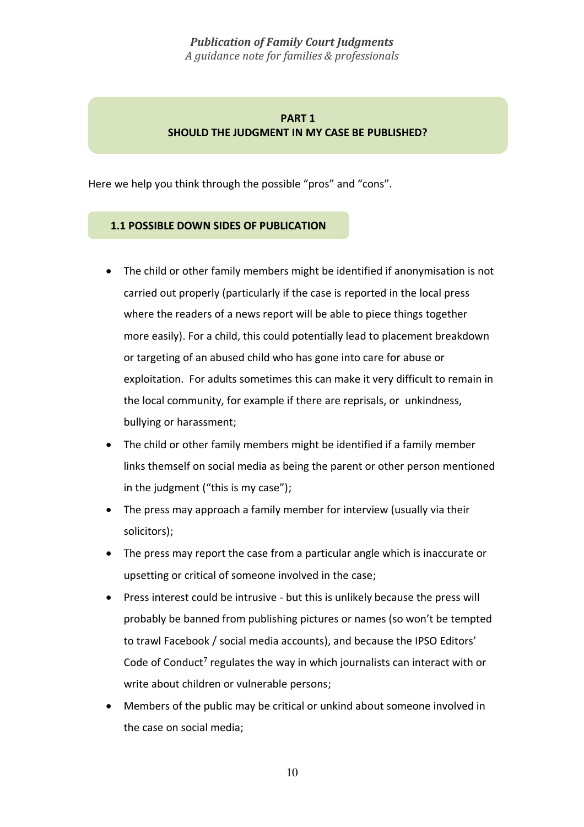# **PART 1 SHOULD THE JUDGMENT IN MY CASE BE PUBLISHED?**

Here we help you think through the possible "pros" and "cons".

# **1.1 POSSIBLE DOWN SIDES OF PUBLICATION**

- The child or other family members might be identified if anonymisation is not carried out properly (particularly if the case is reported in the local press where the readers of a news report will be able to piece things together more easily). For a child, this could potentially lead to placement breakdown or targeting of an abused child who has gone into care for abuse or exploitation. For adults sometimes this can make it very difficult to remain in the local community, for example if there are reprisals, or unkindness, bullying or harassment;
- The child or other family members might be identified if a family member links themself on social media as being the parent or other person mentioned in the judgment ("this is my case");
- The press may approach a family member for interview (usually via their solicitors);
- The press may report the case from a particular angle which is inaccurate or upsetting or critical of someone involved in the case;
- Press interest could be intrusive but this is unlikely because the press will probably be banned from publishing pictures or names (so won't be tempted to trawl Facebook / social media accounts), and because the IPSO Editors' Code of Conduct<sup>7</sup> regulates the way in which journalists can interact with or write about children or vulnerable persons;
- Members of the public may be critical or unkind about someone involved in the case on social media;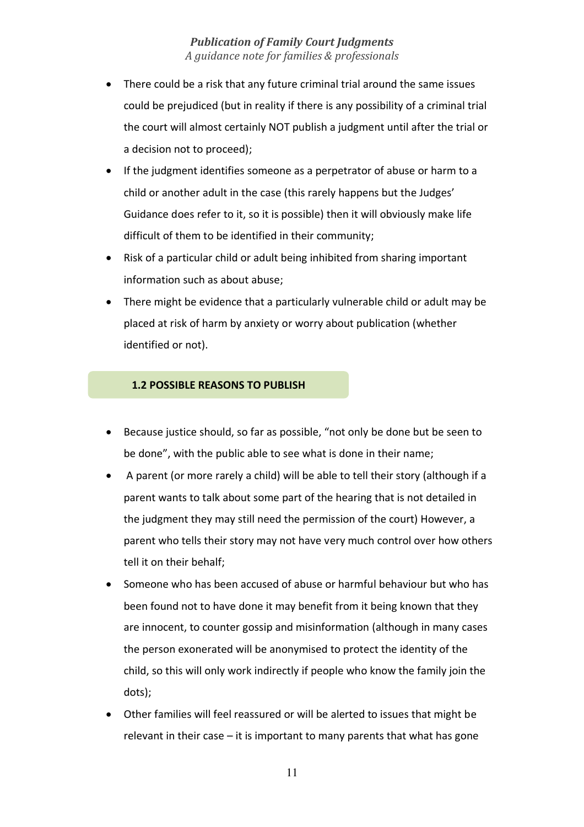- There could be a risk that any future criminal trial around the same issues could be prejudiced (but in reality if there is any possibility of a criminal trial the court will almost certainly NOT publish a judgment until after the trial or a decision not to proceed);
- If the judgment identifies someone as a perpetrator of abuse or harm to a child or another adult in the case (this rarely happens but the Judges' Guidance does refer to it, so it is possible) then it will obviously make life difficult of them to be identified in their community;
- Risk of a particular child or adult being inhibited from sharing important information such as about abuse;
- There might be evidence that a particularly vulnerable child or adult may be placed at risk of harm by anxiety or worry about publication (whether identified or not).

#### **1.2 POSSIBLE REASONS TO PUBLISH**

- Because justice should, so far as possible, "not only be done but be seen to be done", with the public able to see what is done in their name;
- A parent (or more rarely a child) will be able to tell their story (although if a parent wants to talk about some part of the hearing that is not detailed in the judgment they may still need the permission of the court) However, a parent who tells their story may not have very much control over how others tell it on their behalf;
- Someone who has been accused of abuse or harmful behaviour but who has been found not to have done it may benefit from it being known that they are innocent, to counter gossip and misinformation (although in many cases the person exonerated will be anonymised to protect the identity of the child, so this will only work indirectly if people who know the family join the dots);
- Other families will feel reassured or will be alerted to issues that might be relevant in their case – it is important to many parents that what has gone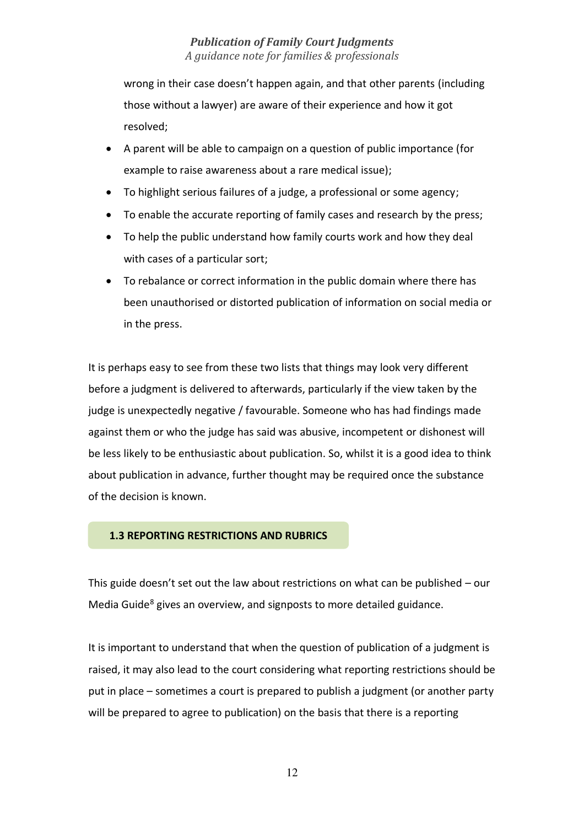wrong in their case doesn't happen again, and that other parents (including those without a lawyer) are aware of their experience and how it got resolved;

- A parent will be able to campaign on a question of public importance (for example to raise awareness about a rare medical issue);
- To highlight serious failures of a judge, a professional or some agency;
- To enable the accurate reporting of family cases and research by the press;
- To help the public understand how family courts work and how they deal with cases of a particular sort;
- To rebalance or correct information in the public domain where there has been unauthorised or distorted publication of information on social media or in the press.

It is perhaps easy to see from these two lists that things may look very different before a judgment is delivered to afterwards, particularly if the view taken by the judge is unexpectedly negative / favourable. Someone who has had findings made against them or who the judge has said was abusive, incompetent or dishonest will be less likely to be enthusiastic about publication. So, whilst it is a good idea to think about publication in advance, further thought may be required once the substance of the decision is known.

#### **1.3 REPORTING RESTRICTIONS AND RUBRICS**

This guide doesn't set out the law about restrictions on what can be published – our Media Guide<sup>8</sup> gives an overview, and signposts to more detailed guidance.

It is important to understand that when the question of publication of a judgment is raised, it may also lead to the court considering what reporting restrictions should be put in place – sometimes a court is prepared to publish a judgment (or another party will be prepared to agree to publication) on the basis that there is a reporting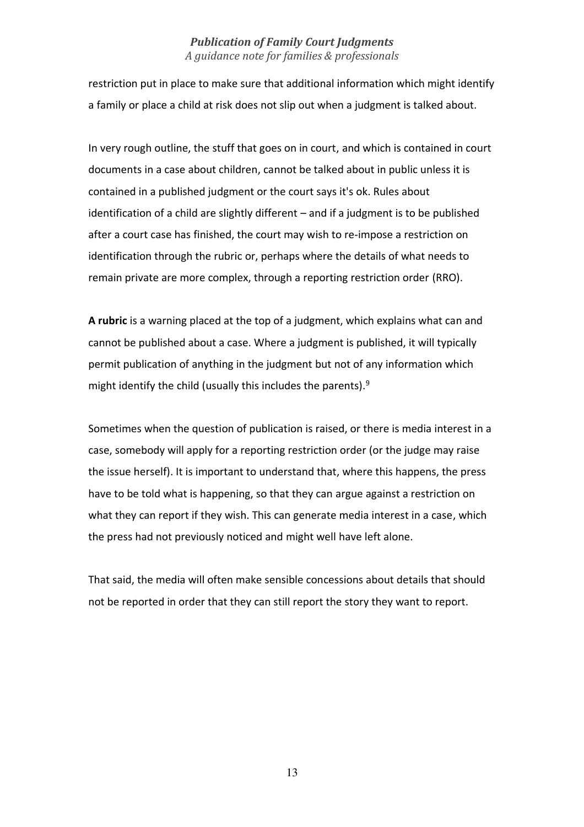restriction put in place to make sure that additional information which might identify a family or place a child at risk does not slip out when a judgment is talked about.

In very rough outline, the stuff that goes on in court, and which is contained in court documents in a case about children, cannot be talked about in public unless it is contained in a published judgment or the court says it's ok. Rules about identification of a child are slightly different – and if a judgment is to be published after a court case has finished, the court may wish to re-impose a restriction on identification through the rubric or, perhaps where the details of what needs to remain private are more complex, through a reporting restriction order (RRO).

**A rubric** is a warning placed at the top of a judgment, which explains what can and cannot be published about a case. Where a judgment is published, it will typically permit publication of anything in the judgment but not of any information which might identify the child (usually this includes the parents).<sup>9</sup>

Sometimes when the question of publication is raised, or there is media interest in a case, somebody will apply for a reporting restriction order (or the judge may raise the issue herself). It is important to understand that, where this happens, the press have to be told what is happening, so that they can argue against a restriction on what they can report if they wish. This can generate media interest in a case, which the press had not previously noticed and might well have left alone.

That said, the media will often make sensible concessions about details that should not be reported in order that they can still report the story they want to report.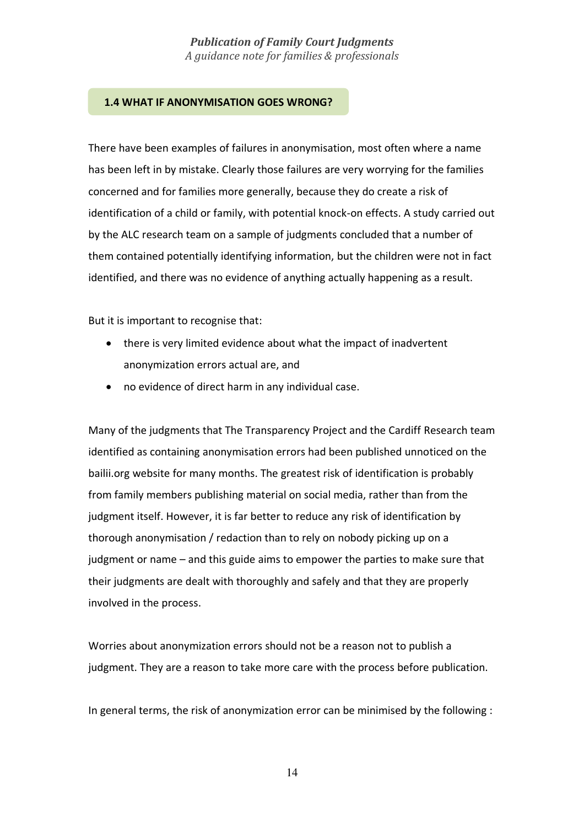#### **1.4 WHAT IF ANONYMISATION GOES WRONG?**

There have been examples of failures in anonymisation, most often where a name has been left in by mistake. Clearly those failures are very worrying for the families concerned and for families more generally, because they do create a risk of identification of a child or family, with potential knock-on effects. A study carried out by the ALC research team on a sample of judgments concluded that a number of them contained potentially identifying information, but the children were not in fact identified, and there was no evidence of anything actually happening as a result.

But it is important to recognise that:

- there is very limited evidence about what the impact of inadvertent anonymization errors actual are, and
- no evidence of direct harm in any individual case.

Many of the judgments that The Transparency Project and the Cardiff Research team identified as containing anonymisation errors had been published unnoticed on the bailii.org website for many months. The greatest risk of identification is probably from family members publishing material on social media, rather than from the judgment itself. However, it is far better to reduce any risk of identification by thorough anonymisation / redaction than to rely on nobody picking up on a judgment or name – and this guide aims to empower the parties to make sure that their judgments are dealt with thoroughly and safely and that they are properly involved in the process.

Worries about anonymization errors should not be a reason not to publish a judgment. They are a reason to take more care with the process before publication.

In general terms, the risk of anonymization error can be minimised by the following :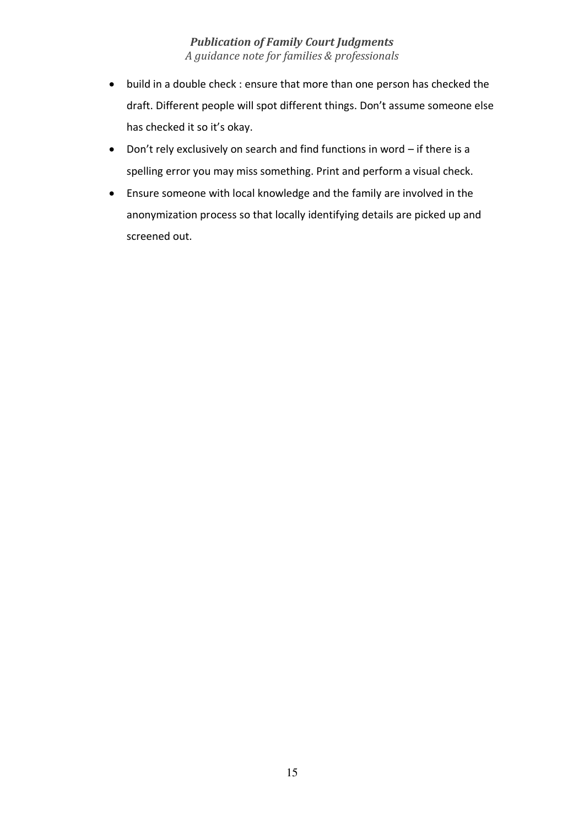- build in a double check : ensure that more than one person has checked the draft. Different people will spot different things. Don't assume someone else has checked it so it's okay.
- Don't rely exclusively on search and find functions in word if there is a spelling error you may miss something. Print and perform a visual check.
- Ensure someone with local knowledge and the family are involved in the anonymization process so that locally identifying details are picked up and screened out.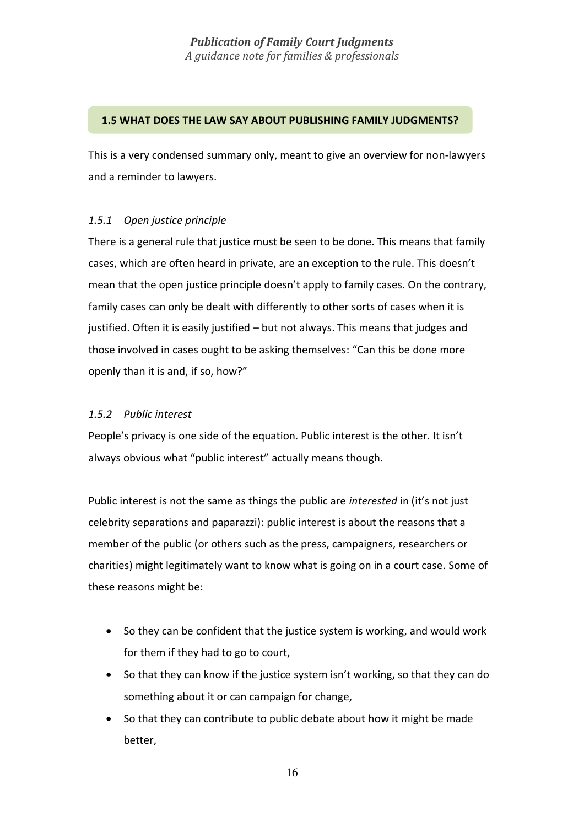#### **1.5 WHAT DOES THE LAW SAY ABOUT PUBLISHING FAMILY JUDGMENTS?**

This is a very condensed summary only, meant to give an overview for non-lawyers and a reminder to lawyers.

# *1.5.1 Open justice principle*

There is a general rule that justice must be seen to be done. This means that family cases, which are often heard in private, are an exception to the rule. This doesn't mean that the open justice principle doesn't apply to family cases. On the contrary, family cases can only be dealt with differently to other sorts of cases when it is justified. Often it is easily justified – but not always. This means that judges and those involved in cases ought to be asking themselves: "Can this be done more openly than it is and, if so, how?"

# *1.5.2 Public interest*

People's privacy is one side of the equation. Public interest is the other. It isn't always obvious what "public interest" actually means though.

Public interest is not the same as things the public are *interested* in (it's not just celebrity separations and paparazzi): public interest is about the reasons that a member of the public (or others such as the press, campaigners, researchers or charities) might legitimately want to know what is going on in a court case. Some of these reasons might be:

- So they can be confident that the justice system is working, and would work for them if they had to go to court,
- So that they can know if the justice system isn't working, so that they can do something about it or can campaign for change,
- So that they can contribute to public debate about how it might be made better,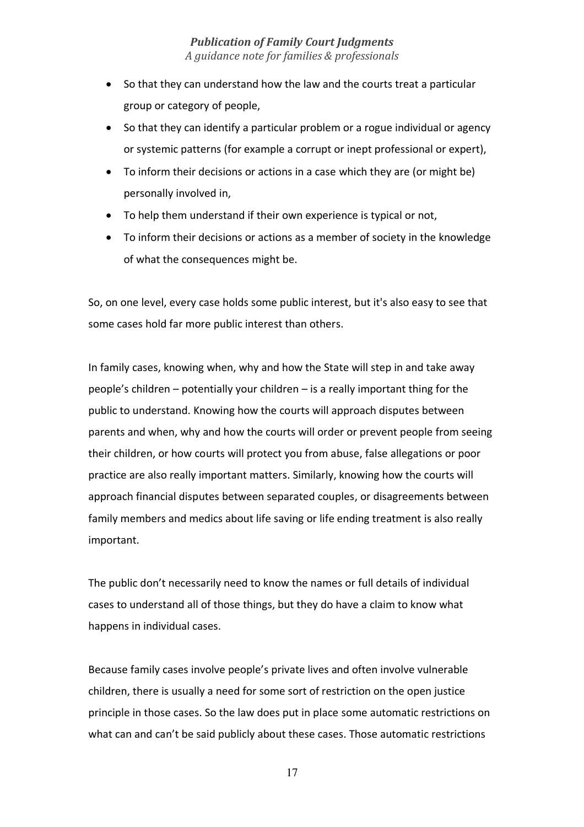- So that they can understand how the law and the courts treat a particular group or category of people,
- So that they can identify a particular problem or a rogue individual or agency or systemic patterns (for example a corrupt or inept professional or expert),
- To inform their decisions or actions in a case which they are (or might be) personally involved in,
- To help them understand if their own experience is typical or not,
- To inform their decisions or actions as a member of society in the knowledge of what the consequences might be.

So, on one level, every case holds some public interest, but it's also easy to see that some cases hold far more public interest than others.

In family cases, knowing when, why and how the State will step in and take away people's children – potentially your children – is a really important thing for the public to understand. Knowing how the courts will approach disputes between parents and when, why and how the courts will order or prevent people from seeing their children, or how courts will protect you from abuse, false allegations or poor practice are also really important matters. Similarly, knowing how the courts will approach financial disputes between separated couples, or disagreements between family members and medics about life saving or life ending treatment is also really important.

The public don't necessarily need to know the names or full details of individual cases to understand all of those things, but they do have a claim to know what happens in individual cases.

Because family cases involve people's private lives and often involve vulnerable children, there is usually a need for some sort of restriction on the open justice principle in those cases. So the law does put in place some automatic restrictions on what can and can't be said publicly about these cases. Those automatic restrictions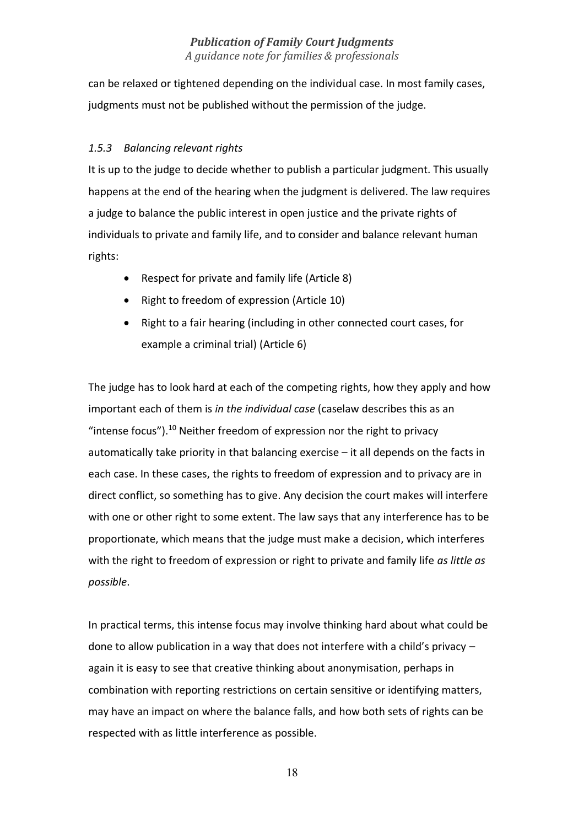can be relaxed or tightened depending on the individual case. In most family cases, judgments must not be published without the permission of the judge.

# *1.5.3 Balancing relevant rights*

It is up to the judge to decide whether to publish a particular judgment. This usually happens at the end of the hearing when the judgment is delivered. The law requires a judge to balance the public interest in open justice and the private rights of individuals to private and family life, and to consider and balance relevant human rights:

- Respect for private and family life (Article 8)
- Right to freedom of expression (Article 10)
- Right to a fair hearing (including in other connected court cases, for example a criminal trial) (Article 6)

The judge has to look hard at each of the competing rights, how they apply and how important each of them is *in the individual case* (caselaw describes this as an "intense focus").<sup>10</sup> Neither freedom of expression nor the right to privacy automatically take priority in that balancing exercise – it all depends on the facts in each case. In these cases, the rights to freedom of expression and to privacy are in direct conflict, so something has to give. Any decision the court makes will interfere with one or other right to some extent. The law says that any interference has to be proportionate, which means that the judge must make a decision, which interferes with the right to freedom of expression or right to private and family life *as little as possible*.

In practical terms, this intense focus may involve thinking hard about what could be done to allow publication in a way that does not interfere with a child's privacy – again it is easy to see that creative thinking about anonymisation, perhaps in combination with reporting restrictions on certain sensitive or identifying matters, may have an impact on where the balance falls, and how both sets of rights can be respected with as little interference as possible.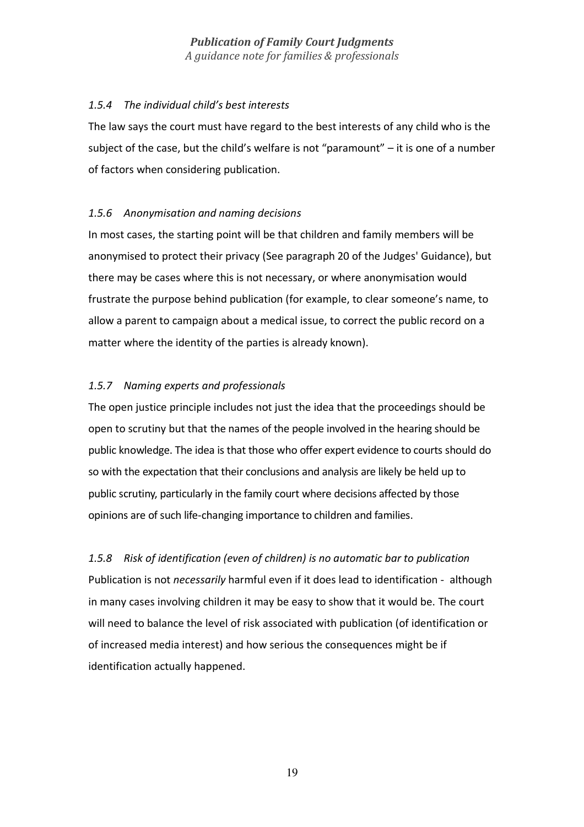#### *1.5.4 The individual child's best interests*

The law says the court must have regard to the best interests of any child who is the subject of the case, but the child's welfare is not "paramount"  $-$  it is one of a number of factors when considering publication.

# *1.5.6 Anonymisation and naming decisions*

In most cases, the starting point will be that children and family members will be anonymised to protect their privacy (See paragraph 20 of the Judges' Guidance), but there may be cases where this is not necessary, or where anonymisation would frustrate the purpose behind publication (for example, to clear someone's name, to allow a parent to campaign about a medical issue, to correct the public record on a matter where the identity of the parties is already known).

# *1.5.7 Naming experts and professionals*

The open justice principle includes not just the idea that the proceedings should be open to scrutiny but that the names of the people involved in the hearing should be public knowledge. The idea is that those who offer expert evidence to courts should do so with the expectation that their conclusions and analysis are likely be held up to public scrutiny, particularly in the family court where decisions affected by those opinions are of such life-changing importance to children and families.

*1.5.8 Risk of identification (even of children) is no automatic bar to publication*  Publication is not *necessarily* harmful even if it does lead to identification - although in many cases involving children it may be easy to show that it would be. The court will need to balance the level of risk associated with publication (of identification or of increased media interest) and how serious the consequences might be if identification actually happened.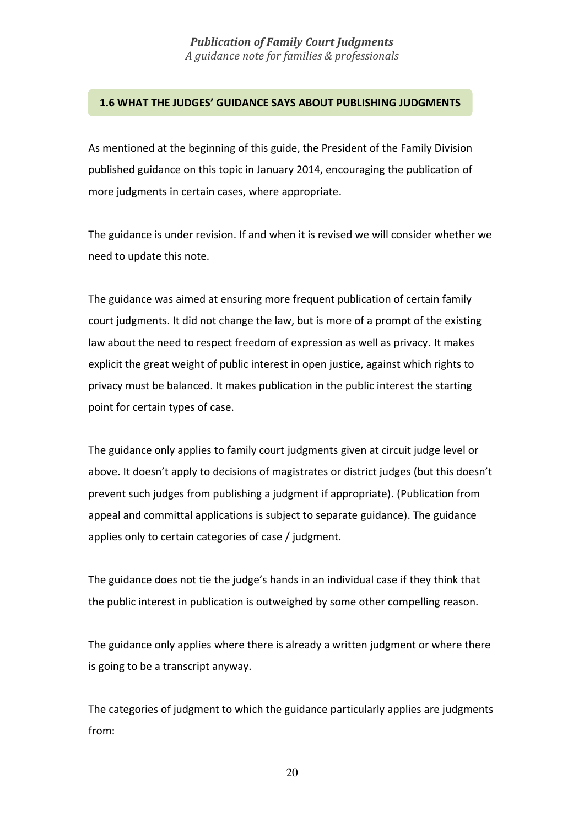#### **1.6 WHAT THE JUDGES' GUIDANCE SAYS ABOUT PUBLISHING JUDGMENTS**

As mentioned at the beginning of this guide, the President of the Family Division published guidance on this topic in January 2014, encouraging the publication of more judgments in certain cases, where appropriate.

The guidance is under revision. If and when it is revised we will consider whether we need to update this note.

The guidance was aimed at ensuring more frequent publication of certain family court judgments. It did not change the law, but is more of a prompt of the existing law about the need to respect freedom of expression as well as privacy. It makes explicit the great weight of public interest in open justice, against which rights to privacy must be balanced. It makes publication in the public interest the starting point for certain types of case.

The guidance only applies to family court judgments given at circuit judge level or above. It doesn't apply to decisions of magistrates or district judges (but this doesn't prevent such judges from publishing a judgment if appropriate). (Publication from appeal and committal applications is subject to separate guidance). The guidance applies only to certain categories of case / judgment.

The guidance does not tie the judge's hands in an individual case if they think that the public interest in publication is outweighed by some other compelling reason.

The guidance only applies where there is already a written judgment or where there is going to be a transcript anyway.

The categories of judgment to which the guidance particularly applies are judgments from: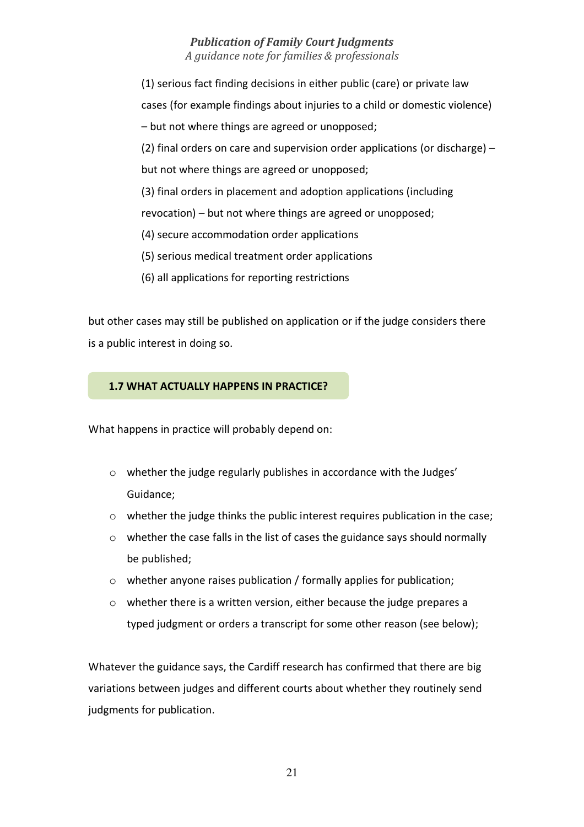(1) serious fact finding decisions in either public (care) or private law cases (for example findings about injuries to a child or domestic violence) – but not where things are agreed or unopposed; (2) final orders on care and supervision order applications (or discharge) – but not where things are agreed or unopposed; (3) final orders in placement and adoption applications (including revocation) – but not where things are agreed or unopposed; (4) secure accommodation order applications (5) serious medical treatment order applications (6) all applications for reporting restrictions

but other cases may still be published on application or if the judge considers there is a public interest in doing so.

#### **1.7 WHAT ACTUALLY HAPPENS IN PRACTICE?**

What happens in practice will probably depend on:

- o whether the judge regularly publishes in accordance with the Judges' Guidance;
- $\circ$  whether the judge thinks the public interest requires publication in the case;
- $\circ$  whether the case falls in the list of cases the guidance says should normally be published;
- o whether anyone raises publication / formally applies for publication;
- o whether there is a written version, either because the judge prepares a typed judgment or orders a transcript for some other reason (see below);

Whatever the guidance says, the Cardiff research has confirmed that there are big variations between judges and different courts about whether they routinely send judgments for publication.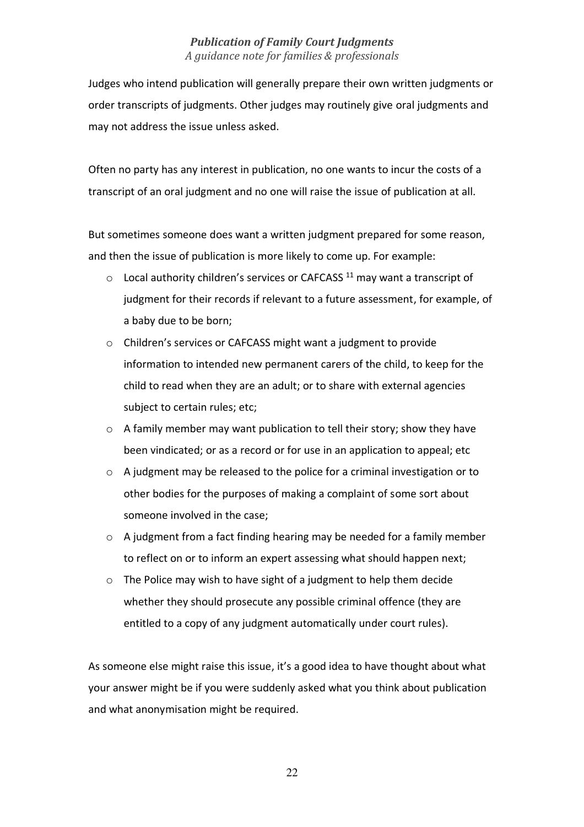Judges who intend publication will generally prepare their own written judgments or order transcripts of judgments. Other judges may routinely give oral judgments and may not address the issue unless asked.

Often no party has any interest in publication, no one wants to incur the costs of a transcript of an oral judgment and no one will raise the issue of publication at all.

But sometimes someone does want a written judgment prepared for some reason, and then the issue of publication is more likely to come up. For example:

- $\circ$  Local authority children's services or CAFCASS<sup>11</sup> may want a transcript of judgment for their records if relevant to a future assessment, for example, of a baby due to be born;
- o Children's services or CAFCASS might want a judgment to provide information to intended new permanent carers of the child, to keep for the child to read when they are an adult; or to share with external agencies subject to certain rules; etc;
- o A family member may want publication to tell their story; show they have been vindicated; or as a record or for use in an application to appeal; etc
- o A judgment may be released to the police for a criminal investigation or to other bodies for the purposes of making a complaint of some sort about someone involved in the case;
- o A judgment from a fact finding hearing may be needed for a family member to reflect on or to inform an expert assessing what should happen next;
- o The Police may wish to have sight of a judgment to help them decide whether they should prosecute any possible criminal offence (they are entitled to a copy of any judgment automatically under court rules).

As someone else might raise this issue, it's a good idea to have thought about what your answer might be if you were suddenly asked what you think about publication and what anonymisation might be required.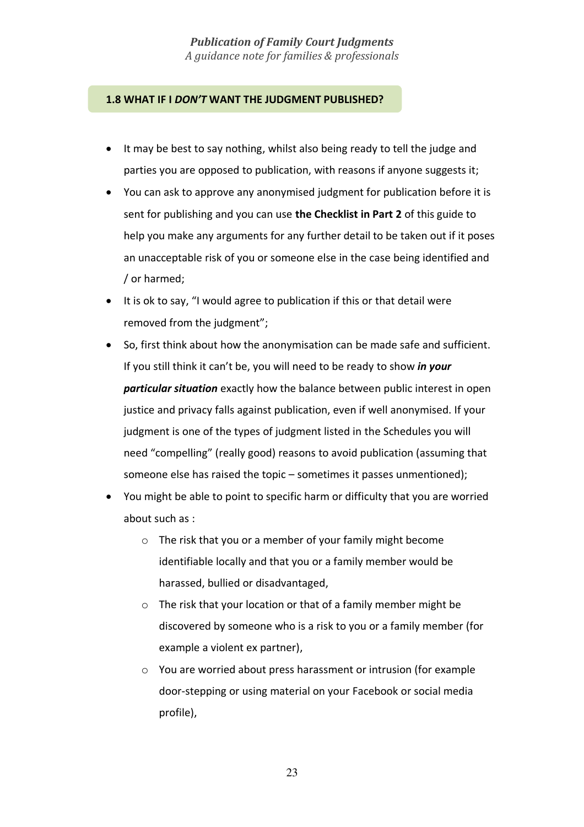#### **1.8 WHAT IF I** *DON'T* **WANT THE JUDGMENT PUBLISHED?**

- It may be best to say nothing, whilst also being ready to tell the judge and parties you are opposed to publication, with reasons if anyone suggests it;
- You can ask to approve any anonymised judgment for publication before it is sent for publishing and you can use **the Checklist in Part 2** of this guide to help you make any arguments for any further detail to be taken out if it poses an unacceptable risk of you or someone else in the case being identified and / or harmed;
- It is ok to say, "I would agree to publication if this or that detail were removed from the judgment";
- So, first think about how the anonymisation can be made safe and sufficient. If you still think it can't be, you will need to be ready to show *in your particular situation* exactly how the balance between public interest in open justice and privacy falls against publication, even if well anonymised. If your judgment is one of the types of judgment listed in the Schedules you will need "compelling" (really good) reasons to avoid publication (assuming that someone else has raised the topic – sometimes it passes unmentioned);
- You might be able to point to specific harm or difficulty that you are worried about such as :
	- o The risk that you or a member of your family might become identifiable locally and that you or a family member would be harassed, bullied or disadvantaged,
	- o The risk that your location or that of a family member might be discovered by someone who is a risk to you or a family member (for example a violent ex partner),
	- o You are worried about press harassment or intrusion (for example door-stepping or using material on your Facebook or social media profile),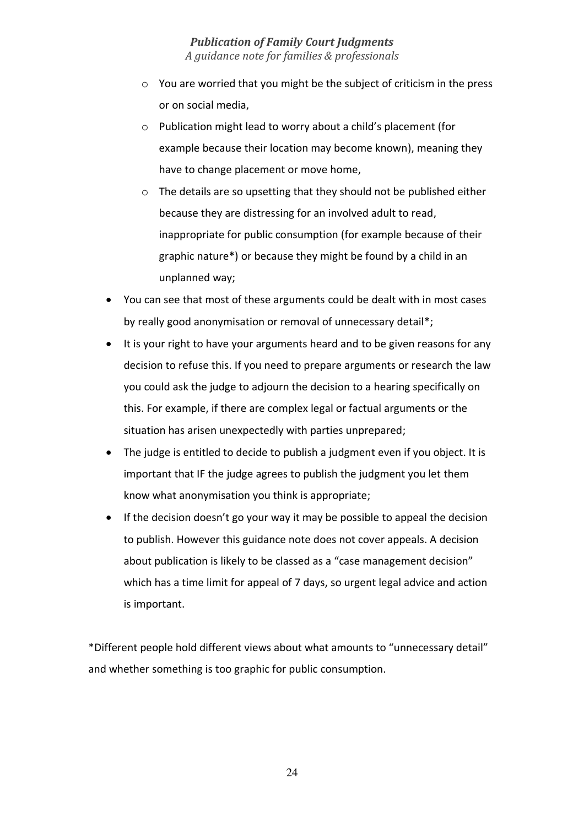- o You are worried that you might be the subject of criticism in the press or on social media,
- o Publication might lead to worry about a child's placement (for example because their location may become known), meaning they have to change placement or move home,
- o The details are so upsetting that they should not be published either because they are distressing for an involved adult to read, inappropriate for public consumption (for example because of their graphic nature\*) or because they might be found by a child in an unplanned way;
- You can see that most of these arguments could be dealt with in most cases by really good anonymisation or removal of unnecessary detail\*;
- It is your right to have your arguments heard and to be given reasons for any decision to refuse this. If you need to prepare arguments or research the law you could ask the judge to adjourn the decision to a hearing specifically on this. For example, if there are complex legal or factual arguments or the situation has arisen unexpectedly with parties unprepared;
- The judge is entitled to decide to publish a judgment even if you object. It is important that IF the judge agrees to publish the judgment you let them know what anonymisation you think is appropriate;
- If the decision doesn't go your way it may be possible to appeal the decision to publish. However this guidance note does not cover appeals. A decision about publication is likely to be classed as a "case management decision" which has a time limit for appeal of 7 days, so urgent legal advice and action is important.

\*Different people hold different views about what amounts to "unnecessary detail" and whether something is too graphic for public consumption.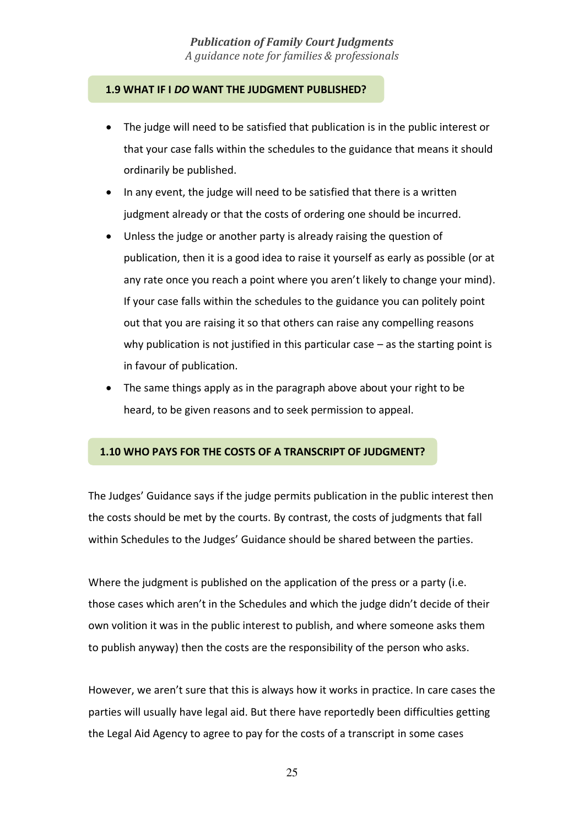#### **1.9 WHAT IF I** *DO* **WANT THE JUDGMENT PUBLISHED?**

- The judge will need to be satisfied that publication is in the public interest or that your case falls within the schedules to the guidance that means it should ordinarily be published.
- In any event, the judge will need to be satisfied that there is a written judgment already or that the costs of ordering one should be incurred.
- Unless the judge or another party is already raising the question of publication, then it is a good idea to raise it yourself as early as possible (or at any rate once you reach a point where you aren't likely to change your mind). If your case falls within the schedules to the guidance you can politely point out that you are raising it so that others can raise any compelling reasons why publication is not justified in this particular case  $-$  as the starting point is in favour of publication.
- The same things apply as in the paragraph above about your right to be heard, to be given reasons and to seek permission to appeal.

# **1.10 WHO PAYS FOR THE COSTS OF A TRANSCRIPT OF JUDGMENT?**

The Judges' Guidance says if the judge permits publication in the public interest then the costs should be met by the courts. By contrast, the costs of judgments that fall within Schedules to the Judges' Guidance should be shared between the parties.

Where the judgment is published on the application of the press or a party (i.e. those cases which aren't in the Schedules and which the judge didn't decide of their own volition it was in the public interest to publish, and where someone asks them to publish anyway) then the costs are the responsibility of the person who asks.

However, we aren't sure that this is always how it works in practice. In care cases the parties will usually have legal aid. But there have reportedly been difficulties getting the Legal Aid Agency to agree to pay for the costs of a transcript in some cases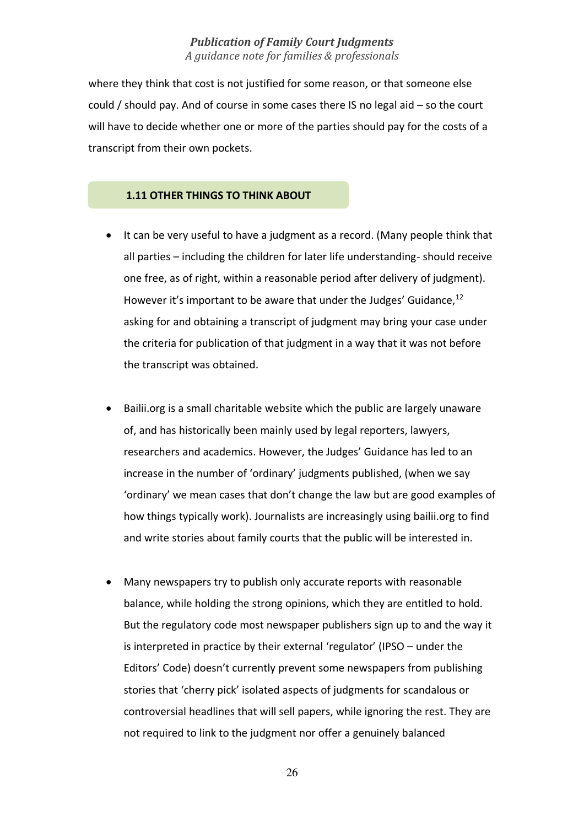where they think that cost is not justified for some reason, or that someone else could / should pay. And of course in some cases there IS no legal aid – so the court will have to decide whether one or more of the parties should pay for the costs of a transcript from their own pockets.

#### **1.11 OTHER THINGS TO THINK ABOUT**

- It can be very useful to have a judgment as a record. (Many people think that all parties – including the children for later life understanding- should receive one free, as of right, within a reasonable period after delivery of judgment). However it's important to be aware that under the Judges' Guidance, <sup>12</sup> asking for and obtaining a transcript of judgment may bring your case under the criteria for publication of that judgment in a way that it was not before the transcript was obtained.
- Bailii.org is a small charitable website which the public are largely unaware of, and has historically been mainly used by legal reporters, lawyers, researchers and academics. However, the Judges' Guidance has led to an increase in the number of 'ordinary' judgments published, (when we say 'ordinary' we mean cases that don't change the law but are good examples of how things typically work). Journalists are increasingly using bailii.org to find and write stories about family courts that the public will be interested in.
- Many newspapers try to publish only accurate reports with reasonable balance, while holding the strong opinions, which they are entitled to hold. But the regulatory code most newspaper publishers sign up to and the way it is interpreted in practice by their external 'regulator' (IPSO – under the Editors' Code) doesn't currently prevent some newspapers from publishing stories that 'cherry pick' isolated aspects of judgments for scandalous or controversial headlines that will sell papers, while ignoring the rest. They are not required to link to the judgment nor offer a genuinely balanced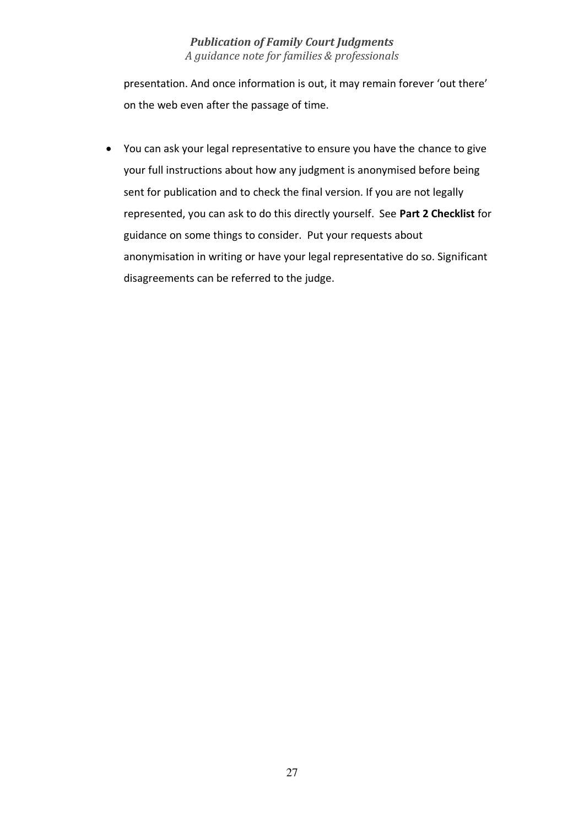presentation. And once information is out, it may remain forever 'out there' on the web even after the passage of time.

• You can ask your legal representative to ensure you have the chance to give your full instructions about how any judgment is anonymised before being sent for publication and to check the final version. If you are not legally represented, you can ask to do this directly yourself. See **Part 2 Checklist** for guidance on some things to consider. Put your requests about anonymisation in writing or have your legal representative do so. Significant disagreements can be referred to the judge.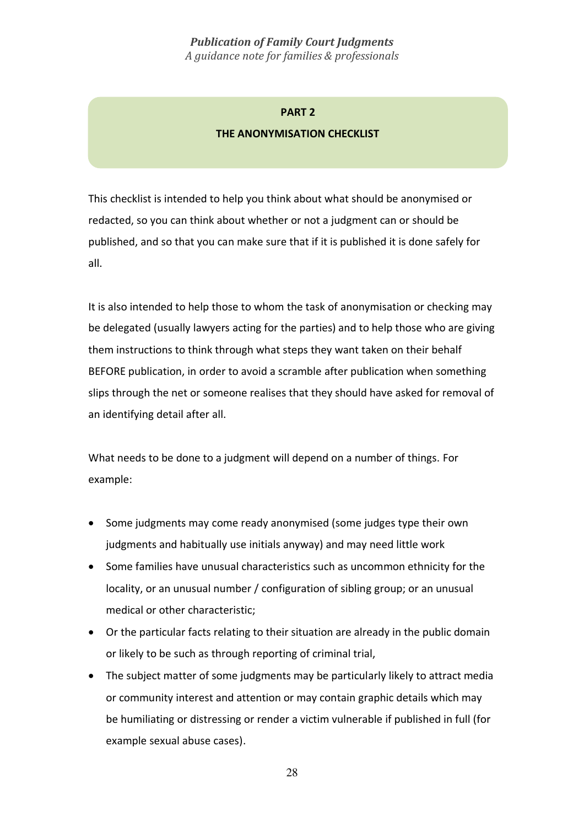#### **PART 2**

#### **THE ANONYMISATION CHECKLIST**

This checklist is intended to help you think about what should be anonymised or redacted, so you can think about whether or not a judgment can or should be published, and so that you can make sure that if it is published it is done safely for all.

It is also intended to help those to whom the task of anonymisation or checking may be delegated (usually lawyers acting for the parties) and to help those who are giving them instructions to think through what steps they want taken on their behalf BEFORE publication, in order to avoid a scramble after publication when something slips through the net or someone realises that they should have asked for removal of an identifying detail after all.

What needs to be done to a judgment will depend on a number of things. For example:

- Some judgments may come ready anonymised (some judges type their own judgments and habitually use initials anyway) and may need little work
- Some families have unusual characteristics such as uncommon ethnicity for the locality, or an unusual number / configuration of sibling group; or an unusual medical or other characteristic;
- Or the particular facts relating to their situation are already in the public domain or likely to be such as through reporting of criminal trial,
- The subject matter of some judgments may be particularly likely to attract media or community interest and attention or may contain graphic details which may be humiliating or distressing or render a victim vulnerable if published in full (for example sexual abuse cases).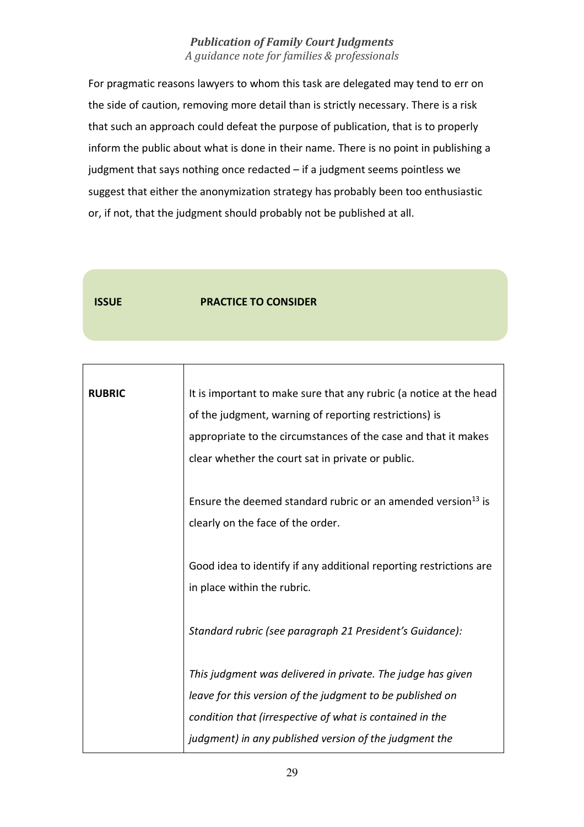For pragmatic reasons lawyers to whom this task are delegated may tend to err on the side of caution, removing more detail than is strictly necessary. There is a risk that such an approach could defeat the purpose of publication, that is to properly inform the public about what is done in their name. There is no point in publishing a judgment that says nothing once redacted – if a judgment seems pointless we suggest that either the anonymization strategy has probably been too enthusiastic or, if not, that the judgment should probably not be published at all.

Г

#### **ISSUE PRACTICE TO CONSIDER**

| <b>RUBRIC</b> | It is important to make sure that any rubric (a notice at the head       |
|---------------|--------------------------------------------------------------------------|
|               | of the judgment, warning of reporting restrictions) is                   |
|               | appropriate to the circumstances of the case and that it makes           |
|               | clear whether the court sat in private or public.                        |
|               |                                                                          |
|               | Ensure the deemed standard rubric or an amended version <sup>13</sup> is |
|               | clearly on the face of the order.                                        |
|               |                                                                          |
|               | Good idea to identify if any additional reporting restrictions are       |
|               | in place within the rubric.                                              |
|               |                                                                          |
|               | Standard rubric (see paragraph 21 President's Guidance):                 |
|               |                                                                          |
|               | This judgment was delivered in private. The judge has given              |
|               | leave for this version of the judgment to be published on                |
|               | condition that (irrespective of what is contained in the                 |
|               | judgment) in any published version of the judgment the                   |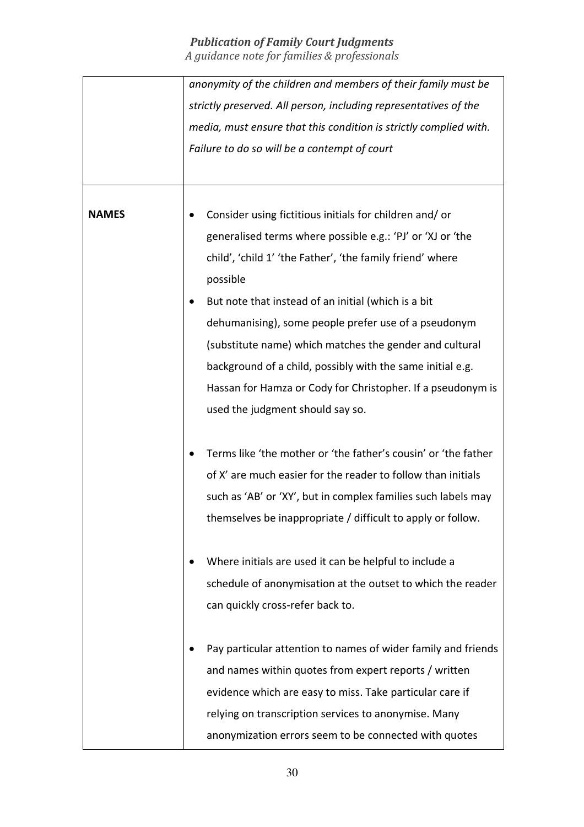|              | anonymity of the children and members of their family must be     |
|--------------|-------------------------------------------------------------------|
|              | strictly preserved. All person, including representatives of the  |
|              | media, must ensure that this condition is strictly complied with. |
|              | Failure to do so will be a contempt of court                      |
|              |                                                                   |
|              |                                                                   |
| <b>NAMES</b> | Consider using fictitious initials for children and/or            |
|              | generalised terms where possible e.g.: 'PJ' or 'XJ or 'the        |
|              | child', 'child 1' 'the Father', 'the family friend' where         |
|              | possible                                                          |
|              | But note that instead of an initial (which is a bit               |
|              | dehumanising), some people prefer use of a pseudonym              |
|              | (substitute name) which matches the gender and cultural           |
|              | background of a child, possibly with the same initial e.g.        |
|              | Hassan for Hamza or Cody for Christopher. If a pseudonym is       |
|              | used the judgment should say so.                                  |
|              |                                                                   |
|              | Terms like 'the mother or 'the father's cousin' or 'the father    |
|              | of X' are much easier for the reader to follow than initials      |
|              | such as 'AB' or 'XY', but in complex families such labels may     |
|              | themselves be inappropriate / difficult to apply or follow.       |
|              |                                                                   |
|              | Where initials are used it can be helpful to include a            |
|              | schedule of anonymisation at the outset to which the reader       |
|              | can quickly cross-refer back to.                                  |
|              |                                                                   |
|              | Pay particular attention to names of wider family and friends     |
|              | and names within quotes from expert reports / written             |
|              | evidence which are easy to miss. Take particular care if          |
|              | relying on transcription services to anonymise. Many              |
|              | anonymization errors seem to be connected with quotes             |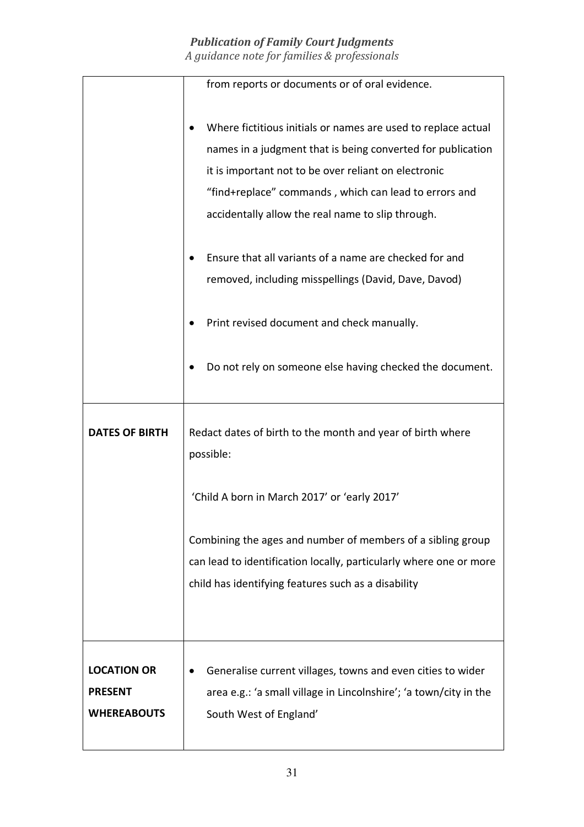|                       | from reports or documents or of oral evidence.                     |
|-----------------------|--------------------------------------------------------------------|
|                       |                                                                    |
|                       | Where fictitious initials or names are used to replace actual      |
|                       | names in a judgment that is being converted for publication        |
|                       | it is important not to be over reliant on electronic               |
|                       | "find+replace" commands, which can lead to errors and              |
|                       | accidentally allow the real name to slip through.                  |
|                       |                                                                    |
|                       | Ensure that all variants of a name are checked for and             |
|                       | removed, including misspellings (David, Dave, Davod)               |
|                       |                                                                    |
|                       | Print revised document and check manually.                         |
|                       |                                                                    |
|                       | Do not rely on someone else having checked the document.           |
|                       |                                                                    |
|                       |                                                                    |
|                       |                                                                    |
| <b>DATES OF BIRTH</b> |                                                                    |
|                       | Redact dates of birth to the month and year of birth where         |
|                       | possible:                                                          |
|                       |                                                                    |
|                       | 'Child A born in March 2017' or 'early 2017'                       |
|                       |                                                                    |
|                       | Combining the ages and number of members of a sibling group        |
|                       | can lead to identification locally, particularly where one or more |
|                       | child has identifying features such as a disability                |
|                       |                                                                    |
|                       |                                                                    |
|                       |                                                                    |
| <b>LOCATION OR</b>    | Generalise current villages, towns and even cities to wider        |
| <b>PRESENT</b>        | area e.g.: 'a small village in Lincolnshire'; 'a town/city in the  |
| <b>WHEREABOUTS</b>    | South West of England'                                             |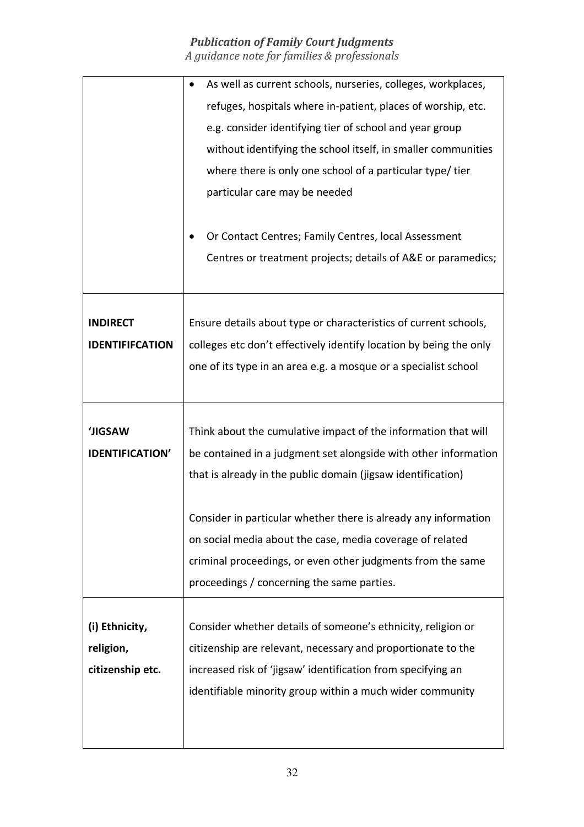|                        | As well as current schools, nurseries, colleges, workplaces,       |
|------------------------|--------------------------------------------------------------------|
|                        | refuges, hospitals where in-patient, places of worship, etc.       |
|                        | e.g. consider identifying tier of school and year group            |
|                        | without identifying the school itself, in smaller communities      |
|                        | where there is only one school of a particular type/tier           |
|                        | particular care may be needed                                      |
|                        |                                                                    |
|                        | Or Contact Centres; Family Centres, local Assessment               |
|                        | Centres or treatment projects; details of A&E or paramedics;       |
|                        |                                                                    |
|                        |                                                                    |
| <b>INDIRECT</b>        | Ensure details about type or characteristics of current schools,   |
| <b>IDENTIFIFCATION</b> | colleges etc don't effectively identify location by being the only |
|                        | one of its type in an area e.g. a mosque or a specialist school    |
|                        |                                                                    |
|                        |                                                                    |
| <b>JIGSAW</b>          | Think about the cumulative impact of the information that will     |
| <b>IDENTIFICATION'</b> | be contained in a judgment set alongside with other information    |
|                        | that is already in the public domain (jigsaw identification)       |
|                        |                                                                    |
|                        | Consider in particular whether there is already any information    |
|                        | on social media about the case, media coverage of related          |
|                        | criminal proceedings, or even other judgments from the same        |
|                        | proceedings / concerning the same parties.                         |
|                        |                                                                    |
| (i) Ethnicity,         | Consider whether details of someone's ethnicity, religion or       |
| religion,              | citizenship are relevant, necessary and proportionate to the       |
| citizenship etc.       | increased risk of 'jigsaw' identification from specifying an       |
|                        | identifiable minority group within a much wider community          |
|                        |                                                                    |
|                        |                                                                    |
|                        |                                                                    |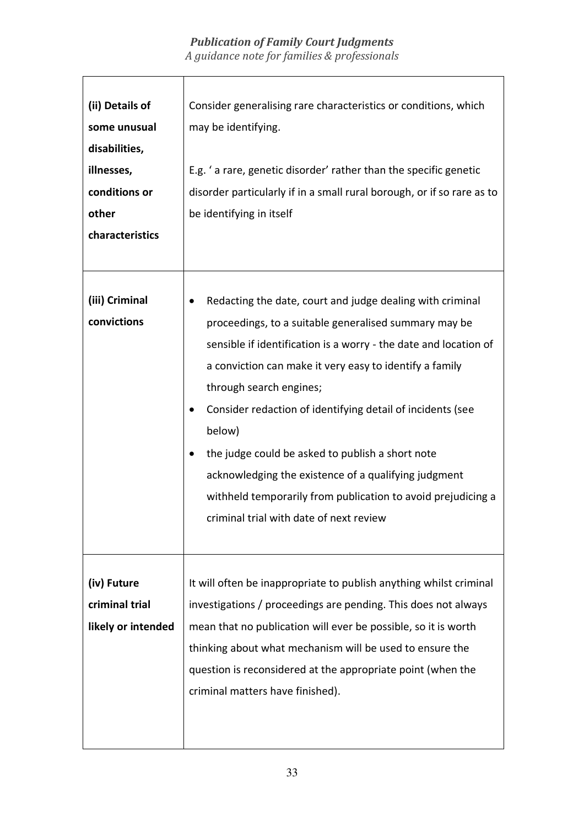| (ii) Details of<br>some unusual<br>disabilities,<br>illnesses,<br>conditions or<br>other<br>characteristics | Consider generalising rare characteristics or conditions, which<br>may be identifying.<br>E.g. 'a rare, genetic disorder' rather than the specific genetic<br>disorder particularly if in a small rural borough, or if so rare as to<br>be identifying in itself                                                                                                                                                                                                                                                                                                            |
|-------------------------------------------------------------------------------------------------------------|-----------------------------------------------------------------------------------------------------------------------------------------------------------------------------------------------------------------------------------------------------------------------------------------------------------------------------------------------------------------------------------------------------------------------------------------------------------------------------------------------------------------------------------------------------------------------------|
| (iii) Criminal<br>convictions                                                                               | Redacting the date, court and judge dealing with criminal<br>proceedings, to a suitable generalised summary may be<br>sensible if identification is a worry - the date and location of<br>a conviction can make it very easy to identify a family<br>through search engines;<br>Consider redaction of identifying detail of incidents (see<br>below)<br>the judge could be asked to publish a short note<br>acknowledging the existence of a qualifying judgment<br>withheld temporarily from publication to avoid prejudicing a<br>criminal trial with date of next review |
| (iv) Future<br>criminal trial<br>likely or intended                                                         | It will often be inappropriate to publish anything whilst criminal<br>investigations / proceedings are pending. This does not always<br>mean that no publication will ever be possible, so it is worth<br>thinking about what mechanism will be used to ensure the<br>question is reconsidered at the appropriate point (when the<br>criminal matters have finished).                                                                                                                                                                                                       |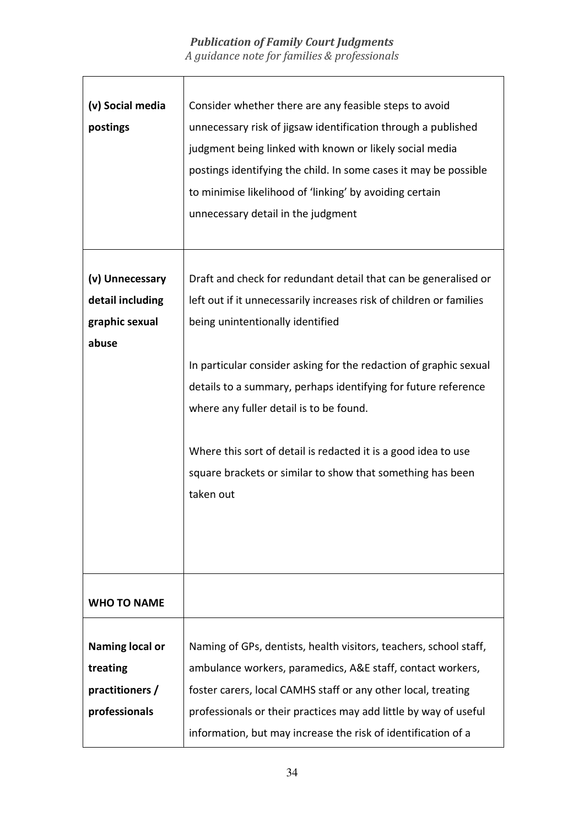| (v) Social media<br>postings                                           | Consider whether there are any feasible steps to avoid<br>unnecessary risk of jigsaw identification through a published<br>judgment being linked with known or likely social media<br>postings identifying the child. In some cases it may be possible<br>to minimise likelihood of 'linking' by avoiding certain<br>unnecessary detail in the judgment                                                                                                                                                   |
|------------------------------------------------------------------------|-----------------------------------------------------------------------------------------------------------------------------------------------------------------------------------------------------------------------------------------------------------------------------------------------------------------------------------------------------------------------------------------------------------------------------------------------------------------------------------------------------------|
| (v) Unnecessary<br>detail including<br>graphic sexual<br>abuse         | Draft and check for redundant detail that can be generalised or<br>left out if it unnecessarily increases risk of children or families<br>being unintentionally identified<br>In particular consider asking for the redaction of graphic sexual<br>details to a summary, perhaps identifying for future reference<br>where any fuller detail is to be found.<br>Where this sort of detail is redacted it is a good idea to use<br>square brackets or similar to show that something has been<br>taken out |
| <b>WHO TO NAME</b>                                                     |                                                                                                                                                                                                                                                                                                                                                                                                                                                                                                           |
| <b>Naming local or</b><br>treating<br>practitioners /<br>professionals | Naming of GPs, dentists, health visitors, teachers, school staff,<br>ambulance workers, paramedics, A&E staff, contact workers,<br>foster carers, local CAMHS staff or any other local, treating<br>professionals or their practices may add little by way of useful<br>information, but may increase the risk of identification of a                                                                                                                                                                     |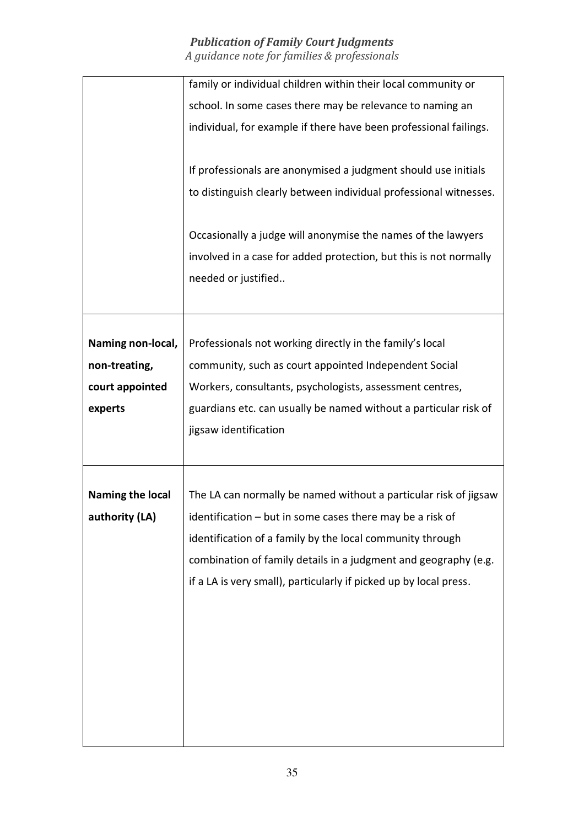|                         | family or individual children within their local community or     |
|-------------------------|-------------------------------------------------------------------|
|                         | school. In some cases there may be relevance to naming an         |
|                         | individual, for example if there have been professional failings. |
|                         | If professionals are anonymised a judgment should use initials    |
|                         |                                                                   |
|                         | to distinguish clearly between individual professional witnesses. |
|                         | Occasionally a judge will anonymise the names of the lawyers      |
|                         | involved in a case for added protection, but this is not normally |
|                         | needed or justified                                               |
|                         |                                                                   |
|                         |                                                                   |
| Naming non-local,       | Professionals not working directly in the family's local          |
| non-treating,           | community, such as court appointed Independent Social             |
| court appointed         | Workers, consultants, psychologists, assessment centres,          |
| experts                 | guardians etc. can usually be named without a particular risk of  |
|                         | jigsaw identification                                             |
|                         |                                                                   |
| <b>Naming the local</b> | The LA can normally be named without a particular risk of jigsaw  |
| authority (LA)          | identification - but in some cases there may be a risk of         |
|                         |                                                                   |
|                         | identification of a family by the local community through         |
|                         | combination of family details in a judgment and geography (e.g.   |
|                         | if a LA is very small), particularly if picked up by local press. |
|                         |                                                                   |
|                         |                                                                   |
|                         |                                                                   |
|                         |                                                                   |
|                         |                                                                   |
|                         |                                                                   |
|                         |                                                                   |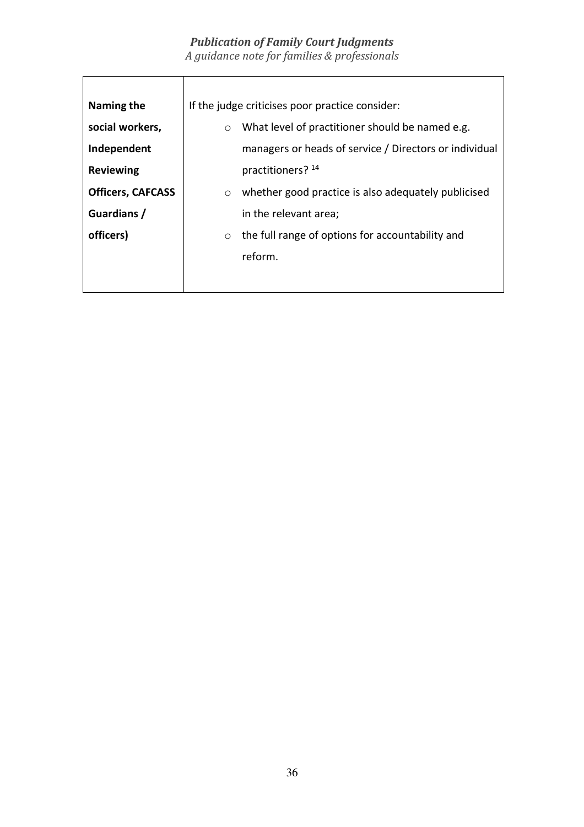| Naming the               | If the judge criticises poor practice consider:                |
|--------------------------|----------------------------------------------------------------|
| social workers,          | What level of practitioner should be named e.g.<br>$\circ$     |
| Independent              | managers or heads of service / Directors or individual         |
| <b>Reviewing</b>         | practitioners? 14                                              |
| <b>Officers, CAFCASS</b> | whether good practice is also adequately publicised<br>$\circ$ |
| Guardians /              | in the relevant area;                                          |
| officers)                | the full range of options for accountability and<br>$\circ$    |
|                          | reform.                                                        |
|                          |                                                                |